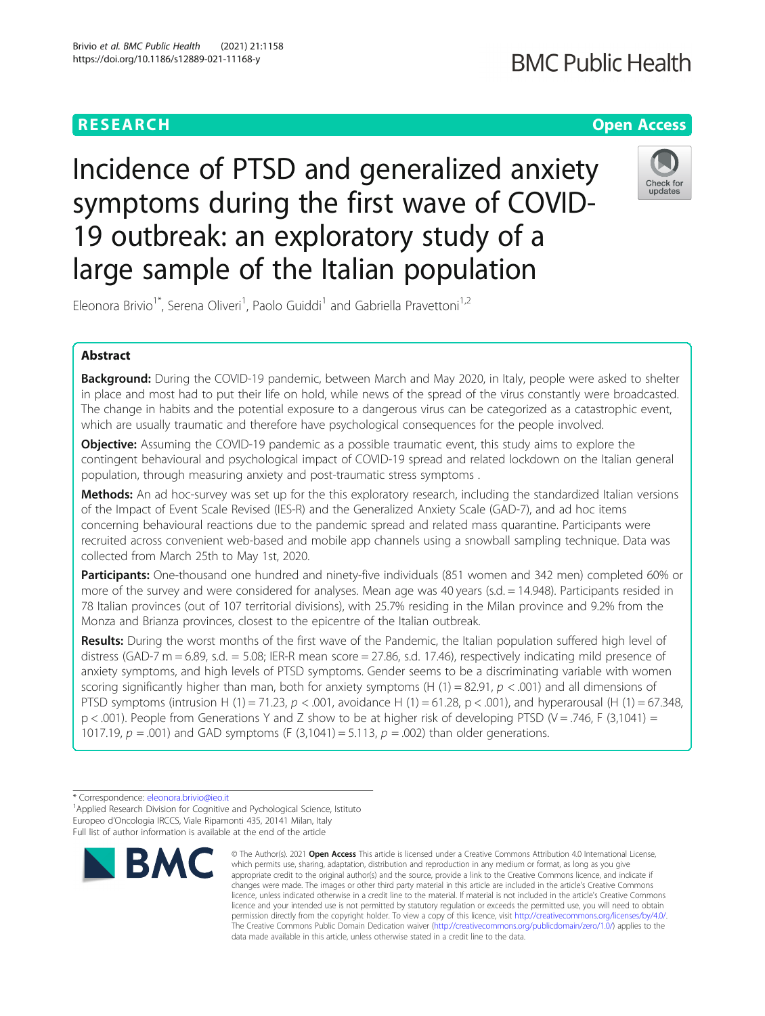### **RESEARCH CHE Open Access**

## **BMC Public Health**

# Incidence of PTSD and generalized anxiety symptoms during the first wave of COVID-



Eleonora Brivio<sup>1\*</sup>, Serena Oliveri<sup>1</sup>, Paolo Guiddi<sup>1</sup> and Gabriella Pravettoni<sup>1,2</sup>

19 outbreak: an exploratory study of a

large sample of the Italian population

#### Abstract

Background: During the COVID-19 pandemic, between March and May 2020, in Italy, people were asked to shelter in place and most had to put their life on hold, while news of the spread of the virus constantly were broadcasted. The change in habits and the potential exposure to a dangerous virus can be categorized as a catastrophic event, which are usually traumatic and therefore have psychological consequences for the people involved.

**Objective:** Assuming the COVID-19 pandemic as a possible traumatic event, this study aims to explore the contingent behavioural and psychological impact of COVID-19 spread and related lockdown on the Italian general population, through measuring anxiety and post-traumatic stress symptoms .

Methods: An ad hoc-survey was set up for the this exploratory research, including the standardized Italian versions of the Impact of Event Scale Revised (IES-R) and the Generalized Anxiety Scale (GAD-7), and ad hoc items concerning behavioural reactions due to the pandemic spread and related mass quarantine. Participants were recruited across convenient web-based and mobile app channels using a snowball sampling technique. Data was collected from March 25th to May 1st, 2020.

Participants: One-thousand one hundred and ninety-five individuals (851 women and 342 men) completed 60% or more of the survey and were considered for analyses. Mean age was 40 years (s.d. = 14.948). Participants resided in 78 Italian provinces (out of 107 territorial divisions), with 25.7% residing in the Milan province and 9.2% from the Monza and Brianza provinces, closest to the epicentre of the Italian outbreak.

Results: During the worst months of the first wave of the Pandemic, the Italian population suffered high level of distress (GAD-7 m = 6.89, s.d. = 5.08; IER-R mean score = 27.86, s.d. 17.46), respectively indicating mild presence of anxiety symptoms, and high levels of PTSD symptoms. Gender seems to be a discriminating variable with women scoring significantly higher than man, both for anxiety symptoms (H (1) = 82.91,  $p < .001$ ) and all dimensions of PTSD symptoms (intrusion H (1) = 71.23,  $p < .001$ , avoidance H (1) = 61.28,  $p < .001$ ), and hyperarousal (H (1) = 67.348,  $p < .001$ ). People from Generations Y and Z show to be at higher risk of developing PTSD (V = .746, F (3,1041) = 1017.19,  $p = .001$ ) and GAD symptoms (F (3,1041) = 5.113,  $p = .002$ ) than older generations.

<sup>&</sup>lt;sup>1</sup> Applied Research Division for Cognitive and Pychological Science, Istituto Europeo d'Oncologia IRCCS, Viale Ripamonti 435, 20141 Milan, Italy Full list of author information is available at the end of the article



<sup>©</sup> The Author(s), 2021 **Open Access** This article is licensed under a Creative Commons Attribution 4.0 International License, which permits use, sharing, adaptation, distribution and reproduction in any medium or format, as long as you give appropriate credit to the original author(s) and the source, provide a link to the Creative Commons licence, and indicate if changes were made. The images or other third party material in this article are included in the article's Creative Commons licence, unless indicated otherwise in a credit line to the material. If material is not included in the article's Creative Commons licence and your intended use is not permitted by statutory regulation or exceeds the permitted use, you will need to obtain permission directly from the copyright holder. To view a copy of this licence, visit [http://creativecommons.org/licenses/by/4.0/.](http://creativecommons.org/licenses/by/4.0/) The Creative Commons Public Domain Dedication waiver [\(http://creativecommons.org/publicdomain/zero/1.0/](http://creativecommons.org/publicdomain/zero/1.0/)) applies to the data made available in this article, unless otherwise stated in a credit line to the data.

<sup>\*</sup> Correspondence: [eleonora.brivio@ieo.it](mailto:eleonora.brivio@ieo.it) <sup>1</sup>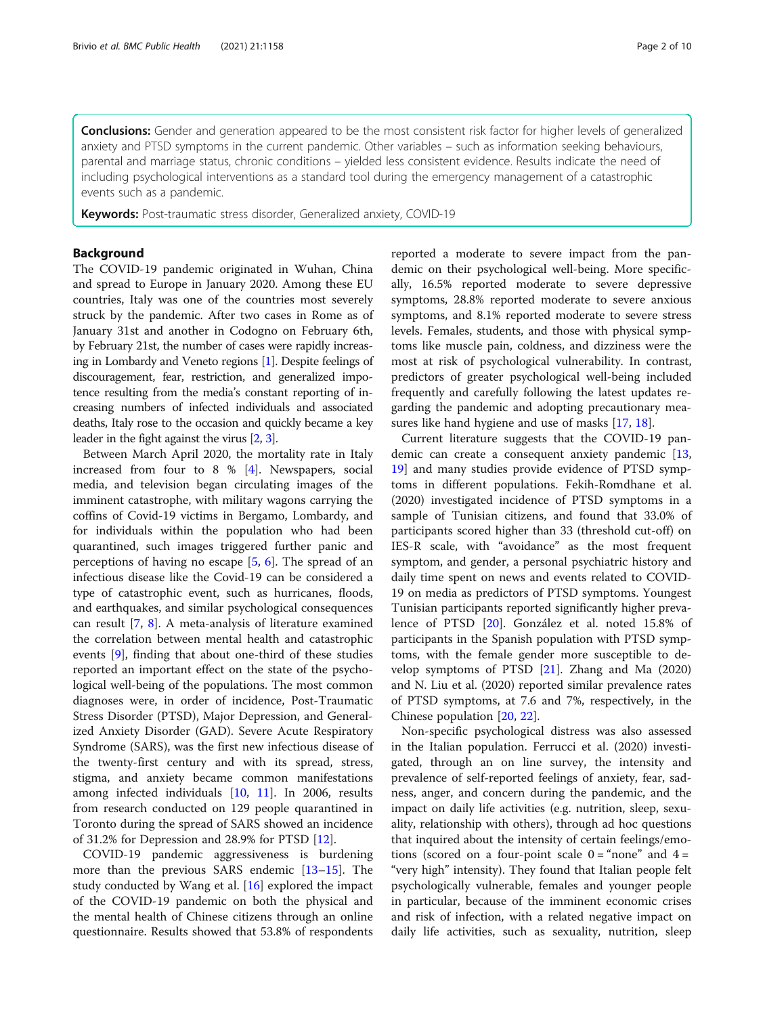Conclusions: Gender and generation appeared to be the most consistent risk factor for higher levels of generalized anxiety and PTSD symptoms in the current pandemic. Other variables – such as information seeking behaviours, parental and marriage status, chronic conditions – yielded less consistent evidence. Results indicate the need of including psychological interventions as a standard tool during the emergency management of a catastrophic events such as a pandemic.

Keywords: Post-traumatic stress disorder, Generalized anxiety, COVID-19

#### Background

The COVID-19 pandemic originated in Wuhan, China and spread to Europe in January 2020. Among these EU countries, Italy was one of the countries most severely struck by the pandemic. After two cases in Rome as of January 31st and another in Codogno on February 6th, by February 21st, the number of cases were rapidly increasing in Lombardy and Veneto regions [[1](#page-8-0)]. Despite feelings of discouragement, fear, restriction, and generalized impotence resulting from the media's constant reporting of increasing numbers of infected individuals and associated deaths, Italy rose to the occasion and quickly became a key leader in the fight against the virus [[2](#page-8-0), [3\]](#page-8-0).

Between March April 2020, the mortality rate in Italy increased from four to 8 % [\[4](#page-8-0)]. Newspapers, social media, and television began circulating images of the imminent catastrophe, with military wagons carrying the coffins of Covid-19 victims in Bergamo, Lombardy, and for individuals within the population who had been quarantined, such images triggered further panic and perceptions of having no escape [[5,](#page-8-0) [6](#page-8-0)]. The spread of an infectious disease like the Covid-19 can be considered a type of catastrophic event, such as hurricanes, floods, and earthquakes, and similar psychological consequences can result [\[7](#page-8-0), [8](#page-8-0)]. A meta-analysis of literature examined the correlation between mental health and catastrophic events [\[9](#page-8-0)], finding that about one-third of these studies reported an important effect on the state of the psychological well-being of the populations. The most common diagnoses were, in order of incidence, Post-Traumatic Stress Disorder (PTSD), Major Depression, and Generalized Anxiety Disorder (GAD). Severe Acute Respiratory Syndrome (SARS), was the first new infectious disease of the twenty-first century and with its spread, stress, stigma, and anxiety became common manifestations among infected individuals [\[10](#page-8-0), [11\]](#page-8-0). In 2006, results from research conducted on 129 people quarantined in Toronto during the spread of SARS showed an incidence of 31.2% for Depression and 28.9% for PTSD [[12\]](#page-8-0).

COVID-19 pandemic aggressiveness is burdening more than the previous SARS endemic [[13](#page-8-0)–[15](#page-8-0)]. The study conducted by Wang et al. [[16](#page-8-0)] explored the impact of the COVID-19 pandemic on both the physical and the mental health of Chinese citizens through an online questionnaire. Results showed that 53.8% of respondents reported a moderate to severe impact from the pandemic on their psychological well-being. More specifically, 16.5% reported moderate to severe depressive symptoms, 28.8% reported moderate to severe anxious symptoms, and 8.1% reported moderate to severe stress levels. Females, students, and those with physical symptoms like muscle pain, coldness, and dizziness were the most at risk of psychological vulnerability. In contrast, predictors of greater psychological well-being included frequently and carefully following the latest updates regarding the pandemic and adopting precautionary measures like hand hygiene and use of masks [[17,](#page-8-0) [18\]](#page-8-0).

Current literature suggests that the COVID-19 pan-demic can create a consequent anxiety pandemic [[13](#page-8-0), [19\]](#page-8-0) and many studies provide evidence of PTSD symptoms in different populations. Fekih-Romdhane et al. (2020) investigated incidence of PTSD symptoms in a sample of Tunisian citizens, and found that 33.0% of participants scored higher than 33 (threshold cut-off) on IES-R scale, with "avoidance" as the most frequent symptom, and gender, a personal psychiatric history and daily time spent on news and events related to COVID-19 on media as predictors of PTSD symptoms. Youngest Tunisian participants reported significantly higher prevalence of PTSD [[20\]](#page-8-0). González et al. noted 15.8% of participants in the Spanish population with PTSD symptoms, with the female gender more susceptible to develop symptoms of PTSD [\[21](#page-8-0)]. Zhang and Ma (2020) and N. Liu et al. (2020) reported similar prevalence rates of PTSD symptoms, at 7.6 and 7%, respectively, in the Chinese population [\[20](#page-8-0), [22](#page-8-0)].

Non-specific psychological distress was also assessed in the Italian population. Ferrucci et al. (2020) investigated, through an on line survey, the intensity and prevalence of self-reported feelings of anxiety, fear, sadness, anger, and concern during the pandemic, and the impact on daily life activities (e.g. nutrition, sleep, sexuality, relationship with others), through ad hoc questions that inquired about the intensity of certain feelings/emotions (scored on a four-point scale  $0 = \text{``none''}$  and  $4 =$ "very high" intensity). They found that Italian people felt psychologically vulnerable, females and younger people in particular, because of the imminent economic crises and risk of infection, with a related negative impact on daily life activities, such as sexuality, nutrition, sleep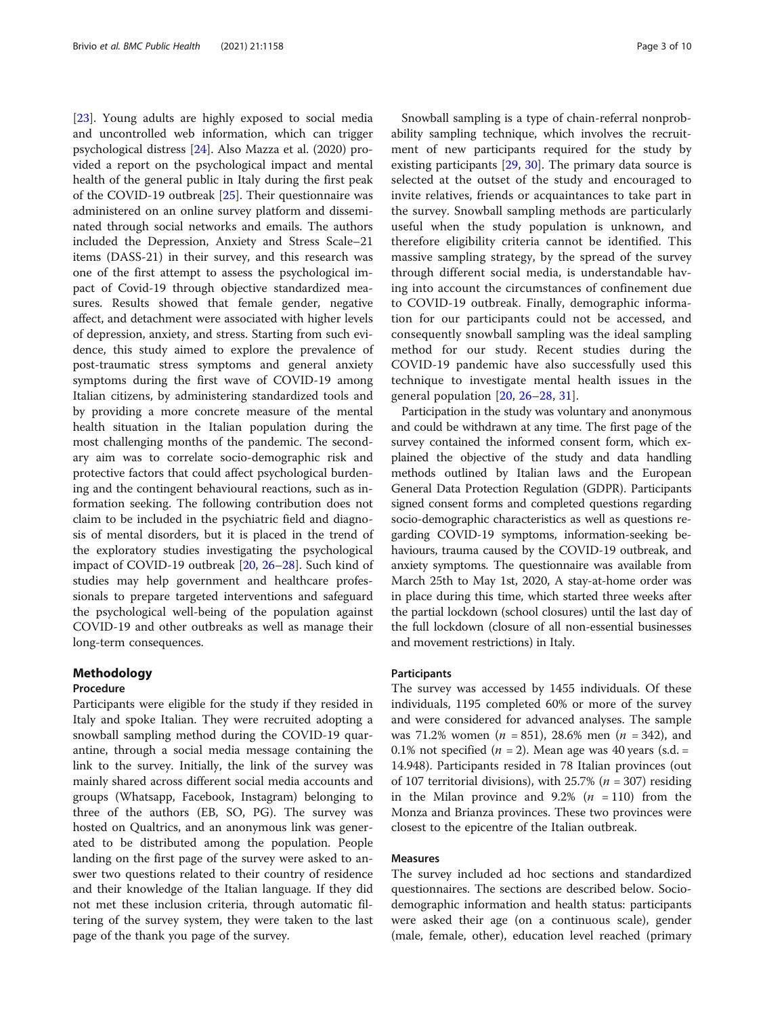[[23\]](#page-8-0). Young adults are highly exposed to social media and uncontrolled web information, which can trigger psychological distress [\[24\]](#page-8-0). Also Mazza et al. (2020) provided a report on the psychological impact and mental health of the general public in Italy during the first peak of the COVID-19 outbreak [[25](#page-8-0)]. Their questionnaire was administered on an online survey platform and disseminated through social networks and emails. The authors included the Depression, Anxiety and Stress Scale–21 items (DASS-21) in their survey, and this research was one of the first attempt to assess the psychological impact of Covid-19 through objective standardized measures. Results showed that female gender, negative affect, and detachment were associated with higher levels of depression, anxiety, and stress. Starting from such evidence, this study aimed to explore the prevalence of post-traumatic stress symptoms and general anxiety symptoms during the first wave of COVID-19 among Italian citizens, by administering standardized tools and by providing a more concrete measure of the mental health situation in the Italian population during the most challenging months of the pandemic. The secondary aim was to correlate socio-demographic risk and protective factors that could affect psychological burdening and the contingent behavioural reactions, such as information seeking. The following contribution does not claim to be included in the psychiatric field and diagnosis of mental disorders, but it is placed in the trend of the exploratory studies investigating the psychological impact of COVID-19 outbreak [\[20,](#page-8-0) [26](#page-8-0)–[28\]](#page-8-0). Such kind of studies may help government and healthcare professionals to prepare targeted interventions and safeguard the psychological well-being of the population against COVID-19 and other outbreaks as well as manage their long-term consequences.

#### Methodology

#### Procedure

Participants were eligible for the study if they resided in Italy and spoke Italian. They were recruited adopting a snowball sampling method during the COVID-19 quarantine, through a social media message containing the link to the survey. Initially, the link of the survey was mainly shared across different social media accounts and groups (Whatsapp, Facebook, Instagram) belonging to three of the authors (EB, SO, PG). The survey was hosted on Qualtrics, and an anonymous link was generated to be distributed among the population. People landing on the first page of the survey were asked to answer two questions related to their country of residence and their knowledge of the Italian language. If they did not met these inclusion criteria, through automatic filtering of the survey system, they were taken to the last page of the thank you page of the survey.

Snowball sampling is a type of chain-referral nonprobability sampling technique, which involves the recruitment of new participants required for the study by existing participants [[29](#page-9-0), [30\]](#page-9-0). The primary data source is selected at the outset of the study and encouraged to invite relatives, friends or acquaintances to take part in the survey. Snowball sampling methods are particularly useful when the study population is unknown, and therefore eligibility criteria cannot be identified. This massive sampling strategy, by the spread of the survey through different social media, is understandable having into account the circumstances of confinement due to COVID-19 outbreak. Finally, demographic information for our participants could not be accessed, and consequently snowball sampling was the ideal sampling method for our study. Recent studies during the COVID-19 pandemic have also successfully used this technique to investigate mental health issues in the general population [[20](#page-8-0), [26](#page-8-0)–[28](#page-8-0), [31](#page-9-0)].

Participation in the study was voluntary and anonymous and could be withdrawn at any time. The first page of the survey contained the informed consent form, which explained the objective of the study and data handling methods outlined by Italian laws and the European General Data Protection Regulation (GDPR). Participants signed consent forms and completed questions regarding socio-demographic characteristics as well as questions regarding COVID-19 symptoms, information-seeking behaviours, trauma caused by the COVID-19 outbreak, and anxiety symptoms. The questionnaire was available from March 25th to May 1st, 2020, A stay-at-home order was in place during this time, which started three weeks after the partial lockdown (school closures) until the last day of the full lockdown (closure of all non-essential businesses and movement restrictions) in Italy.

#### Participants

The survey was accessed by 1455 individuals. Of these individuals, 1195 completed 60% or more of the survey and were considered for advanced analyses. The sample was 71.2% women ( $n = 851$ ), 28.6% men ( $n = 342$ ), and 0.1% not specified ( $n = 2$ ). Mean age was 40 years (s.d. = 14.948). Participants resided in 78 Italian provinces (out of 107 territorial divisions), with 25.7% ( $n = 307$ ) residing in the Milan province and 9.2% ( $n = 110$ ) from the Monza and Brianza provinces. These two provinces were closest to the epicentre of the Italian outbreak.

#### Measures

The survey included ad hoc sections and standardized questionnaires. The sections are described below. Sociodemographic information and health status: participants were asked their age (on a continuous scale), gender (male, female, other), education level reached (primary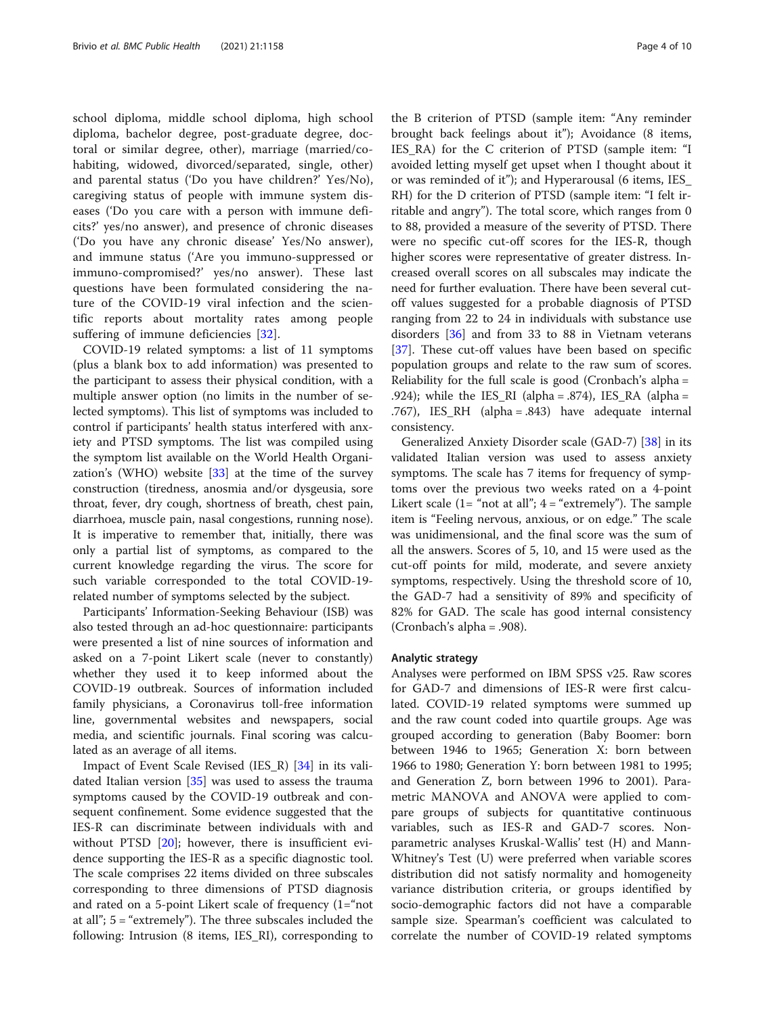school diploma, middle school diploma, high school diploma, bachelor degree, post-graduate degree, doctoral or similar degree, other), marriage (married/cohabiting, widowed, divorced/separated, single, other) and parental status ('Do you have children?' Yes/No), caregiving status of people with immune system diseases ('Do you care with a person with immune deficits?' yes/no answer), and presence of chronic diseases ('Do you have any chronic disease' Yes/No answer), and immune status ('Are you immuno-suppressed or immuno-compromised?' yes/no answer). These last questions have been formulated considering the nature of the COVID-19 viral infection and the scientific reports about mortality rates among people suffering of immune deficiencies [[32\]](#page-9-0).

COVID-19 related symptoms: a list of 11 symptoms (plus a blank box to add information) was presented to the participant to assess their physical condition, with a multiple answer option (no limits in the number of selected symptoms). This list of symptoms was included to control if participants' health status interfered with anxiety and PTSD symptoms. The list was compiled using the symptom list available on the World Health Organization's (WHO) website  $\left[33\right]$  $\left[33\right]$  $\left[33\right]$  at the time of the survey construction (tiredness, anosmia and/or dysgeusia, sore throat, fever, dry cough, shortness of breath, chest pain, diarrhoea, muscle pain, nasal congestions, running nose). It is imperative to remember that, initially, there was only a partial list of symptoms, as compared to the current knowledge regarding the virus. The score for such variable corresponded to the total COVID-19 related number of symptoms selected by the subject.

Participants' Information-Seeking Behaviour (ISB) was also tested through an ad-hoc questionnaire: participants were presented a list of nine sources of information and asked on a 7-point Likert scale (never to constantly) whether they used it to keep informed about the COVID-19 outbreak. Sources of information included family physicians, a Coronavirus toll-free information line, governmental websites and newspapers, social media, and scientific journals. Final scoring was calculated as an average of all items.

Impact of Event Scale Revised (IES\_R) [[34](#page-9-0)] in its validated Italian version [\[35](#page-9-0)] was used to assess the trauma symptoms caused by the COVID-19 outbreak and consequent confinement. Some evidence suggested that the IES-R can discriminate between individuals with and without PTSD [[20\]](#page-8-0); however, there is insufficient evidence supporting the IES-R as a specific diagnostic tool. The scale comprises 22 items divided on three subscales corresponding to three dimensions of PTSD diagnosis and rated on a 5-point Likert scale of frequency  $(1 = \text{"not})$ at all";  $5 =$  "extremely"). The three subscales included the following: Intrusion (8 items, IES\_RI), corresponding to

the B criterion of PTSD (sample item: "Any reminder brought back feelings about it"); Avoidance (8 items, IES\_RA) for the C criterion of PTSD (sample item: "I avoided letting myself get upset when I thought about it or was reminded of it"); and Hyperarousal (6 items, IES\_ RH) for the D criterion of PTSD (sample item: "I felt irritable and angry"). The total score, which ranges from 0 to 88, provided a measure of the severity of PTSD. There were no specific cut-off scores for the IES-R, though higher scores were representative of greater distress. Increased overall scores on all subscales may indicate the need for further evaluation. There have been several cutoff values suggested for a probable diagnosis of PTSD ranging from 22 to 24 in individuals with substance use disorders [[36\]](#page-9-0) and from 33 to 88 in Vietnam veterans [[37\]](#page-9-0). These cut-off values have been based on specific population groups and relate to the raw sum of scores. Reliability for the full scale is good (Cronbach's alpha = .924); while the IES\_RI (alpha =  $.874$ ), IES\_RA (alpha = .767), IES\_RH (alpha = .843) have adequate internal consistency.

Generalized Anxiety Disorder scale (GAD-7) [\[38](#page-9-0)] in its validated Italian version was used to assess anxiety symptoms. The scale has 7 items for frequency of symptoms over the previous two weeks rated on a 4-point Likert scale  $(1 = "not at all"; 4 = "extremely").$  The sample item is "Feeling nervous, anxious, or on edge." The scale was unidimensional, and the final score was the sum of all the answers. Scores of 5, 10, and 15 were used as the cut-off points for mild, moderate, and severe anxiety symptoms, respectively. Using the threshold score of 10, the GAD-7 had a sensitivity of 89% and specificity of 82% for GAD. The scale has good internal consistency (Cronbach's alpha = .908).

#### Analytic strategy

Analyses were performed on IBM SPSS v25. Raw scores for GAD-7 and dimensions of IES-R were first calculated. COVID-19 related symptoms were summed up and the raw count coded into quartile groups. Age was grouped according to generation (Baby Boomer: born between 1946 to 1965; Generation X: born between 1966 to 1980; Generation Y: born between 1981 to 1995; and Generation Z, born between 1996 to 2001). Parametric MANOVA and ANOVA were applied to compare groups of subjects for quantitative continuous variables, such as IES-R and GAD-7 scores. Nonparametric analyses Kruskal-Wallis' test (H) and Mann-Whitney's Test (U) were preferred when variable scores distribution did not satisfy normality and homogeneity variance distribution criteria, or groups identified by socio-demographic factors did not have a comparable sample size. Spearman's coefficient was calculated to correlate the number of COVID-19 related symptoms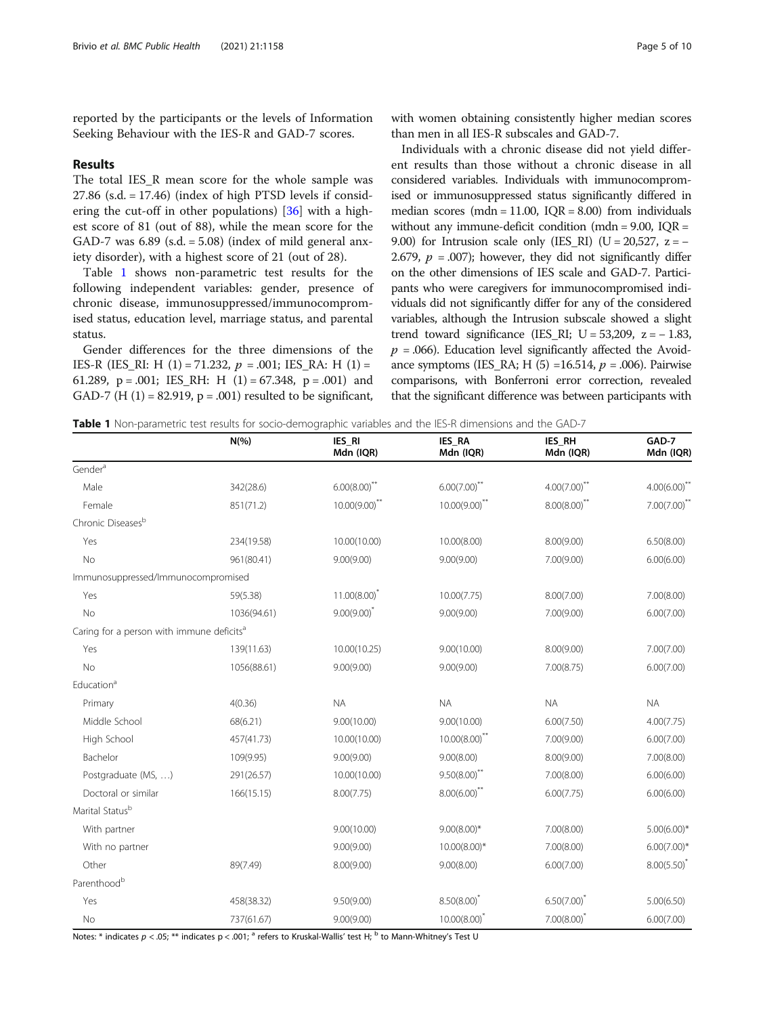reported by the participants or the levels of Information Seeking Behaviour with the IES-R and GAD-7 scores.

#### Results

The total IES\_R mean score for the whole sample was  $27.86$  (s.d.  $= 17.46$ ) (index of high PTSD levels if considering the cut-off in other populations) [\[36\]](#page-9-0) with a highest score of 81 (out of 88), while the mean score for the GAD-7 was  $6.89$  (s.d. =  $5.08$ ) (index of mild general anxiety disorder), with a highest score of 21 (out of 28).

Table 1 shows non-parametric test results for the following independent variables: gender, presence of chronic disease, immunosuppressed/immunocompromised status, education level, marriage status, and parental status.

Gender differences for the three dimensions of the IES-R (IES\_RI: H (1) = 71.232,  $p = .001$ ; IES\_RA: H (1) = 61.289,  $p = .001$ ; IES\_RH: H (1) = 67.348,  $p = .001$ ) and GAD-7 (H  $(1) = 82.919$ ,  $p = .001$ ) resulted to be significant,

with women obtaining consistently higher median scores than men in all IES-R subscales and GAD-7.

Individuals with a chronic disease did not yield different results than those without a chronic disease in all considered variables. Individuals with immunocompromised or immunosuppressed status significantly differed in median scores (mdn = 11.00,  $IQR = 8.00$ ) from individuals without any immune-deficit condition (mdn = 9.00, IQR = 9.00) for Intrusion scale only (IES\_RI) (U = 20,527,  $z = -$ 2.679,  $p = .007$ ; however, they did not significantly differ on the other dimensions of IES scale and GAD-7. Participants who were caregivers for immunocompromised individuals did not significantly differ for any of the considered variables, although the Intrusion subscale showed a slight trend toward significance (IES\_RI; U =  $53,209$ , z =  $-1.83$ ,  $p = 0.066$ ). Education level significantly affected the Avoidance symptoms (IES\_RA; H  $(5)$  =16.514,  $p = .006$ ). Pairwise comparisons, with Bonferroni error correction, revealed that the significant difference was between participants with

|  |  |  | <b>Table 1</b> Non-parametric test results for socio-demographic variables and the IES-R dimensions and the GAD-7 |  |
|--|--|--|-------------------------------------------------------------------------------------------------------------------|--|
|  |  |  |                                                                                                                   |  |

|                                                       | $N(\% )$    | IES_RI<br>Mdn (IQR)        | IES_RA<br>Mdn (IQR)        | IES RH<br>Mdn (IQR) | GAD-7<br>Mdn (IQR) |
|-------------------------------------------------------|-------------|----------------------------|----------------------------|---------------------|--------------------|
| Gender <sup>a</sup>                                   |             |                            |                            |                     |                    |
| Male                                                  | 342(28.6)   | $6.00(8.00)$ <sup>**</sup> | $6.00(7.00)$ <sup>**</sup> | $4.00(7.00)^{**}$   | $4.00(6.00)$ **    |
| Female                                                | 851(71.2)   | $10.00(9.00)$ **           | $10.00(9.00)$ **           | $8.00(8.00)$ **     | $7.00(7.00)$ **    |
| Chronic Diseases <sup>b</sup>                         |             |                            |                            |                     |                    |
| Yes                                                   | 234(19.58)  | 10.00(10.00)               | 10.00(8.00)                | 8.00(9.00)          | 6.50(8.00)         |
| No                                                    | 961(80.41)  | 9.00(9.00)                 | 9.00(9.00)                 | 7.00(9.00)          | 6.00(6.00)         |
| Immunosuppressed/Immunocompromised                    |             |                            |                            |                     |                    |
| Yes                                                   | 59(5.38)    | $11.00(8.00)^{*}$          | 10.00(7.75)                | 8.00(7.00)          | 7.00(8.00)         |
| No                                                    | 1036(94.61) | $9.00(9.00)^{*}$           | 9.00(9.00)                 | 7.00(9.00)          | 6.00(7.00)         |
| Caring for a person with immune deficits <sup>a</sup> |             |                            |                            |                     |                    |
| Yes                                                   | 139(11.63)  | 10.00(10.25)               | 9.00(10.00)                | 8.00(9.00)          | 7.00(7.00)         |
| <b>No</b>                                             | 1056(88.61) | 9.00(9.00)                 | 9.00(9.00)                 | 7.00(8.75)          | 6.00(7.00)         |
| Education <sup>a</sup>                                |             |                            |                            |                     |                    |
| Primary                                               | 4(0.36)     | <b>NA</b>                  | <b>NA</b>                  | <b>NA</b>           | <b>NA</b>          |
| Middle School                                         | 68(6.21)    | 9.00(10.00)                | 9.00(10.00)                | 6.00(7.50)          | 4.00(7.75)         |
| High School                                           | 457(41.73)  | 10.00(10.00)               | $10.00(8.00)^{**}$         | 7.00(9.00)          | 6.00(7.00)         |
| Bachelor                                              | 109(9.95)   | 9.00(9.00)                 | 9.00(8.00)                 | 8.00(9.00)          | 7.00(8.00)         |
| Postgraduate (MS, )                                   | 291(26.57)  | 10.00(10.00)               | $9.50(8.00)$ **            | 7.00(8.00)          | 6.00(6.00)         |
| Doctoral or similar                                   | 166(15.15)  | 8.00(7.75)                 | $8.00(6.00)$ **            | 6.00(7.75)          | 6.00(6.00)         |
| Marital Statusb                                       |             |                            |                            |                     |                    |
| With partner                                          |             | 9.00(10.00)                | $9.00(8.00)*$              | 7.00(8.00)          | $5.00(6.00)*$      |
| With no partner                                       |             | 9.00(9.00)                 | $10.00(8.00)*$             | 7.00(8.00)          | $6.00(7.00)*$      |
| Other                                                 | 89(7.49)    | 8.00(9.00)                 | 9.00(8.00)                 | 6.00(7.00)          | $8.00(5.50)^{*}$   |
| Parenthood <sup>b</sup>                               |             |                            |                            |                     |                    |
| Yes                                                   | 458(38.32)  | 9.50(9.00)                 | $8.50(8.00)^{*}$           | $6.50(7.00)^{*}$    | 5.00(6.50)         |
| No                                                    | 737(61.67)  | 9.00(9.00)                 | $10.00(8.00)^{*}$          | $7.00(8.00)^{*}$    | 6.00(7.00)         |

Notes: \* indicates  $p < .05$ ; \*\* indicates  $p < .001$ ; <sup>a</sup> refers to Kruskal-Wallis' test H; <sup>b</sup> to Mann-Whitney's Test U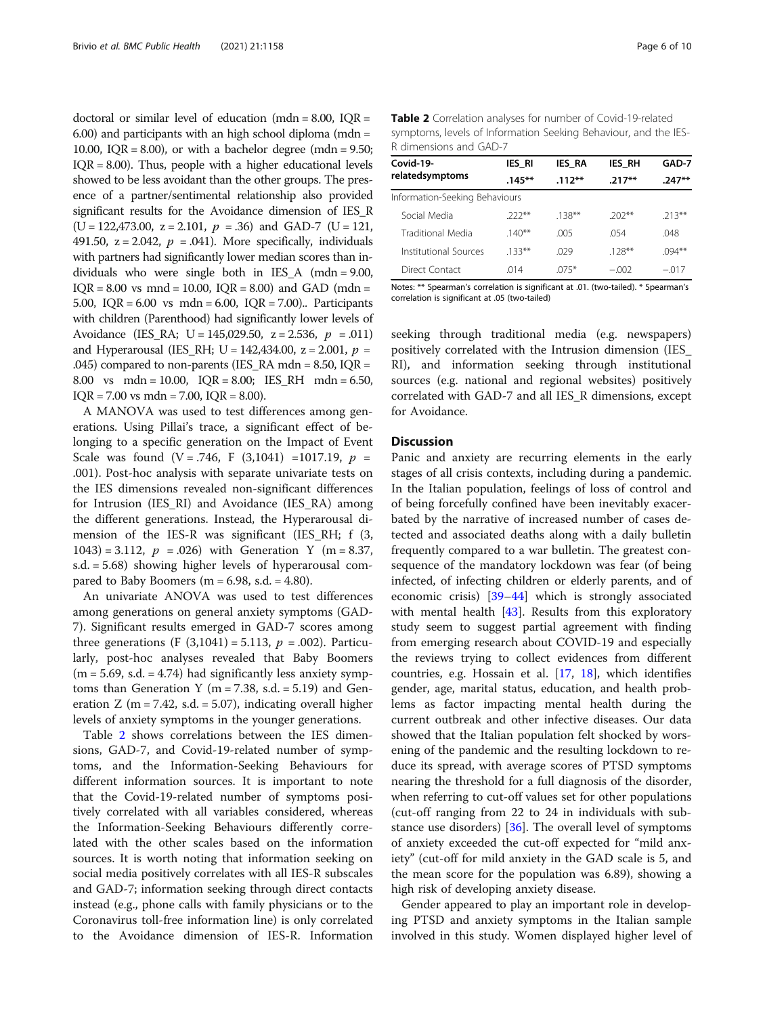doctoral or similar level of education (mdn =  $8.00$ , IOR = 6.00) and participants with an high school diploma (mdn = 10.00,  $IQR = 8.00$ , or with a bachelor degree (mdn = 9.50;  $IQR = 8.00$ . Thus, people with a higher educational levels showed to be less avoidant than the other groups. The presence of a partner/sentimental relationship also provided significant results for the Avoidance dimension of IES\_R  $(U = 122,473.00, z = 2.101, p = .36)$  and GAD-7  $(U = 121,$ 491.50,  $z = 2.042$ ,  $p = .041$ ). More specifically, individuals with partners had significantly lower median scores than individuals who were single both in IES\_A (mdn = 9.00,  $IQR = 8.00$  vs mnd = 10.00,  $IQR = 8.00$ ) and  $GAD$  (mdn = 5.00, IQR = 6.00 vs mdn = 6.00, IQR = 7.00).. Participants with children (Parenthood) had significantly lower levels of Avoidance (IES\_RA; U = 145,029.50,  $z = 2.536$ ,  $p = .011$ ) and Hyperarousal (IES\_RH; U = 142,434.00, z = 2.001,  $p =$ .045) compared to non-parents (IES\_RA mdn =  $8.50$ , IQR = 8.00 vs mdn = 10.00, IQR = 8.00; IES\_RH mdn = 6.50,  $IOR = 7.00$  vs mdn = 7.00,  $IOR = 8.00$ .

A MANOVA was used to test differences among generations. Using Pillai's trace, a significant effect of belonging to a specific generation on the Impact of Event Scale was found  $(V = .746, F (3,1041) = 1017.19, p =$ .001). Post-hoc analysis with separate univariate tests on the IES dimensions revealed non-significant differences for Intrusion (IES\_RI) and Avoidance (IES\_RA) among the different generations. Instead, the Hyperarousal dimension of the IES-R was significant (IES RH; f (3, 1043) = 3.112,  $p = .026$ ) with Generation Y (m = 8.37, s.d. = 5.68) showing higher levels of hyperarousal compared to Baby Boomers ( $m = 6.98$ , s.d.  $= 4.80$ ).

An univariate ANOVA was used to test differences among generations on general anxiety symptoms (GAD-7). Significant results emerged in GAD-7 scores among three generations (F  $(3,1041) = 5.113$ ,  $p = .002$ ). Particularly, post-hoc analyses revealed that Baby Boomers  $(m = 5.69, s.d. = 4.74)$  had significantly less anxiety symptoms than Generation Y ( $m = 7.38$ , s.d. = 5.19) and Generation Z (m = 7.42, s.d. = 5.07), indicating overall higher levels of anxiety symptoms in the younger generations.

Table 2 shows correlations between the IES dimensions, GAD-7, and Covid-19-related number of symptoms, and the Information-Seeking Behaviours for different information sources. It is important to note that the Covid-19-related number of symptoms positively correlated with all variables considered, whereas the Information-Seeking Behaviours differently correlated with the other scales based on the information sources. It is worth noting that information seeking on social media positively correlates with all IES-R subscales and GAD-7; information seeking through direct contacts instead (e.g., phone calls with family physicians or to the Coronavirus toll-free information line) is only correlated to the Avoidance dimension of IES-R. Information

| Covid-19-                      | <b>IES RI</b> | <b>IES RA</b> | <b>IES RH</b> | GAD-7     |  |
|--------------------------------|---------------|---------------|---------------|-----------|--|
| relatedsymptoms                | $.145***$     | $.112***$     | $.217**$      | $247**$   |  |
| Information-Seeking Behaviours |               |               |               |           |  |
| Social Media                   | $222**$       | $.138***$     | $202**$       | $213**$   |  |
| Traditional Media              | $140**$       | .005          | .054          | .048      |  |
| Institutional Sources          | $133**$       | .029          | $.128***$     | $.094***$ |  |
| Direct Contact                 | 014           | $075*$        | $-.002$       | $-.017$   |  |

Notes: \*\* Spearman's correlation is significant at .01. (two-tailed). \* Spearman's correlation is significant at .05 (two-tailed)

seeking through traditional media (e.g. newspapers) positively correlated with the Intrusion dimension (IES\_ RI), and information seeking through institutional sources (e.g. national and regional websites) positively correlated with GAD-7 and all IES\_R dimensions, except for Avoidance.

#### **Discussion**

Panic and anxiety are recurring elements in the early stages of all crisis contexts, including during a pandemic. In the Italian population, feelings of loss of control and of being forcefully confined have been inevitably exacerbated by the narrative of increased number of cases detected and associated deaths along with a daily bulletin frequently compared to a war bulletin. The greatest consequence of the mandatory lockdown was fear (of being infected, of infecting children or elderly parents, and of economic crisis) [[39](#page-9-0)–[44](#page-9-0)] which is strongly associated with mental health [[43\]](#page-9-0). Results from this exploratory study seem to suggest partial agreement with finding from emerging research about COVID-19 and especially the reviews trying to collect evidences from different countries, e.g. Hossain et al. [\[17](#page-8-0), [18\]](#page-8-0), which identifies gender, age, marital status, education, and health problems as factor impacting mental health during the current outbreak and other infective diseases. Our data showed that the Italian population felt shocked by worsening of the pandemic and the resulting lockdown to reduce its spread, with average scores of PTSD symptoms nearing the threshold for a full diagnosis of the disorder, when referring to cut-off values set for other populations (cut-off ranging from 22 to 24 in individuals with substance use disorders) [[36](#page-9-0)]. The overall level of symptoms of anxiety exceeded the cut-off expected for "mild anxiety" (cut-off for mild anxiety in the GAD scale is 5, and the mean score for the population was 6.89), showing a high risk of developing anxiety disease.

Gender appeared to play an important role in developing PTSD and anxiety symptoms in the Italian sample involved in this study. Women displayed higher level of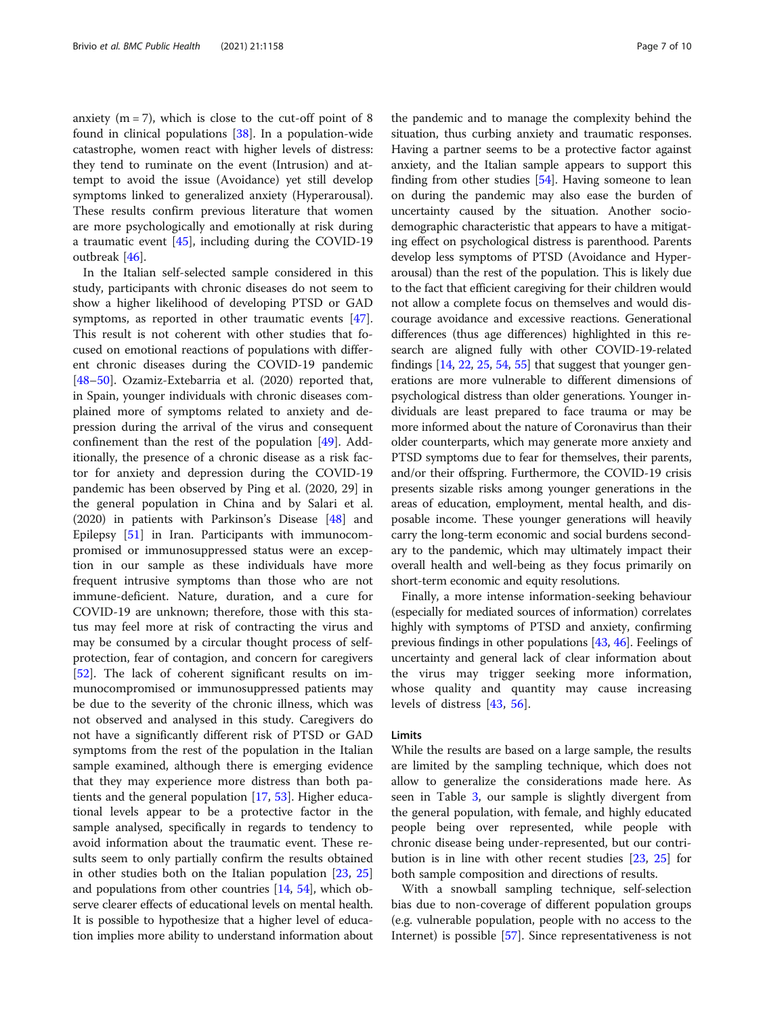anxiety  $(m = 7)$ , which is close to the cut-off point of 8 found in clinical populations [\[38\]](#page-9-0). In a population-wide catastrophe, women react with higher levels of distress: they tend to ruminate on the event (Intrusion) and attempt to avoid the issue (Avoidance) yet still develop symptoms linked to generalized anxiety (Hyperarousal). These results confirm previous literature that women are more psychologically and emotionally at risk during a traumatic event [\[45\]](#page-9-0), including during the COVID-19 outbreak [[46\]](#page-9-0).

In the Italian self-selected sample considered in this study, participants with chronic diseases do not seem to show a higher likelihood of developing PTSD or GAD symptoms, as reported in other traumatic events [\[47](#page-9-0)]. This result is not coherent with other studies that focused on emotional reactions of populations with different chronic diseases during the COVID-19 pandemic [[48](#page-9-0)–[50](#page-9-0)]. Ozamiz-Extebarria et al. (2020) reported that, in Spain, younger individuals with chronic diseases complained more of symptoms related to anxiety and depression during the arrival of the virus and consequent confinement than the rest of the population [\[49](#page-9-0)]. Additionally, the presence of a chronic disease as a risk factor for anxiety and depression during the COVID-19 pandemic has been observed by Ping et al. (2020, 29] in the general population in China and by Salari et al. (2020) in patients with Parkinson's Disease [[48](#page-9-0)] and Epilepsy [\[51](#page-9-0)] in Iran. Participants with immunocompromised or immunosuppressed status were an exception in our sample as these individuals have more frequent intrusive symptoms than those who are not immune-deficient. Nature, duration, and a cure for COVID-19 are unknown; therefore, those with this status may feel more at risk of contracting the virus and may be consumed by a circular thought process of selfprotection, fear of contagion, and concern for caregivers [[52\]](#page-9-0). The lack of coherent significant results on immunocompromised or immunosuppressed patients may be due to the severity of the chronic illness, which was not observed and analysed in this study. Caregivers do not have a significantly different risk of PTSD or GAD symptoms from the rest of the population in the Italian sample examined, although there is emerging evidence that they may experience more distress than both patients and the general population [[17,](#page-8-0) [53\]](#page-9-0). Higher educational levels appear to be a protective factor in the sample analysed, specifically in regards to tendency to avoid information about the traumatic event. These results seem to only partially confirm the results obtained in other studies both on the Italian population [[23](#page-8-0), [25](#page-8-0)] and populations from other countries [\[14,](#page-8-0) [54\]](#page-9-0), which observe clearer effects of educational levels on mental health. It is possible to hypothesize that a higher level of education implies more ability to understand information about

the pandemic and to manage the complexity behind the situation, thus curbing anxiety and traumatic responses. Having a partner seems to be a protective factor against anxiety, and the Italian sample appears to support this finding from other studies [[54](#page-9-0)]. Having someone to lean on during the pandemic may also ease the burden of uncertainty caused by the situation. Another sociodemographic characteristic that appears to have a mitigating effect on psychological distress is parenthood. Parents develop less symptoms of PTSD (Avoidance and Hyperarousal) than the rest of the population. This is likely due to the fact that efficient caregiving for their children would not allow a complete focus on themselves and would discourage avoidance and excessive reactions. Generational differences (thus age differences) highlighted in this research are aligned fully with other COVID-19-related findings  $[14, 22, 25, 54, 55]$  $[14, 22, 25, 54, 55]$  $[14, 22, 25, 54, 55]$  $[14, 22, 25, 54, 55]$  $[14, 22, 25, 54, 55]$  $[14, 22, 25, 54, 55]$  $[14, 22, 25, 54, 55]$  $[14, 22, 25, 54, 55]$  $[14, 22, 25, 54, 55]$  $[14, 22, 25, 54, 55]$  that suggest that younger generations are more vulnerable to different dimensions of psychological distress than older generations. Younger individuals are least prepared to face trauma or may be more informed about the nature of Coronavirus than their older counterparts, which may generate more anxiety and PTSD symptoms due to fear for themselves, their parents, and/or their offspring. Furthermore, the COVID-19 crisis presents sizable risks among younger generations in the areas of education, employment, mental health, and disposable income. These younger generations will heavily carry the long-term economic and social burdens secondary to the pandemic, which may ultimately impact their overall health and well-being as they focus primarily on short-term economic and equity resolutions.

Finally, a more intense information-seeking behaviour (especially for mediated sources of information) correlates highly with symptoms of PTSD and anxiety, confirming previous findings in other populations [[43](#page-9-0), [46\]](#page-9-0). Feelings of uncertainty and general lack of clear information about the virus may trigger seeking more information, whose quality and quantity may cause increasing levels of distress [[43,](#page-9-0) [56\]](#page-9-0).

#### **Limits**

While the results are based on a large sample, the results are limited by the sampling technique, which does not allow to generalize the considerations made here. As seen in Table [3,](#page-7-0) our sample is slightly divergent from the general population, with female, and highly educated people being over represented, while people with chronic disease being under-represented, but our contribution is in line with other recent studies [[23,](#page-8-0) [25](#page-8-0)] for both sample composition and directions of results.

With a snowball sampling technique, self-selection bias due to non-coverage of different population groups (e.g. vulnerable population, people with no access to the Internet) is possible [\[57](#page-9-0)]. Since representativeness is not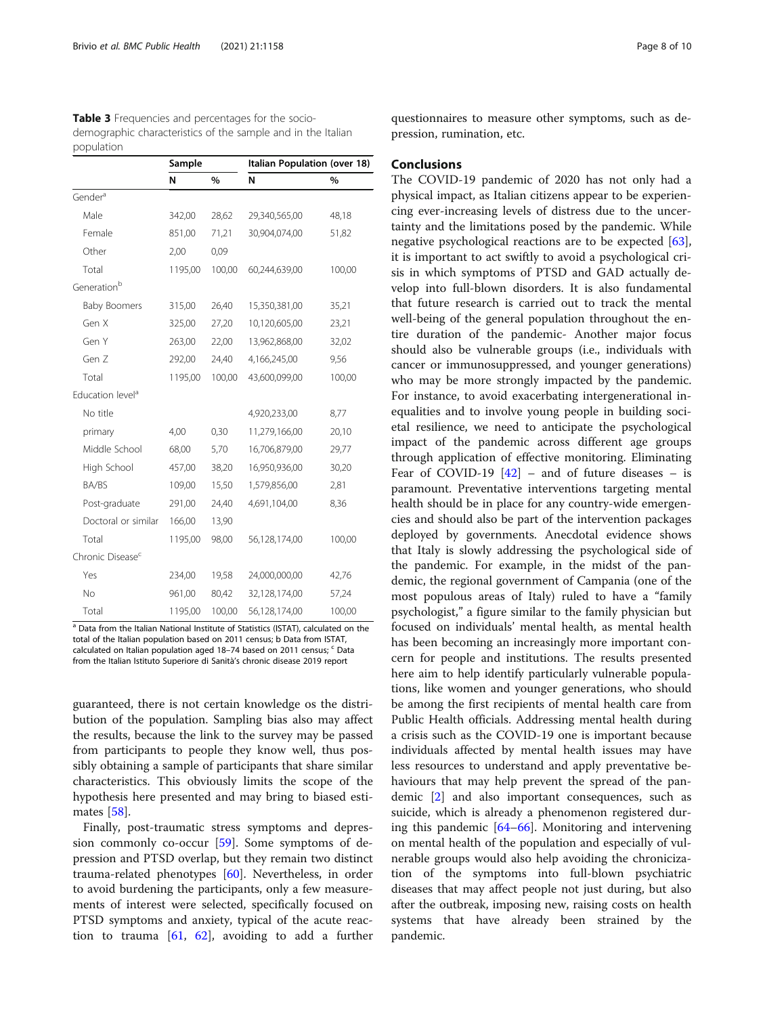<span id="page-7-0"></span>

| Table 3 Frequencies and percentages for the socio-           |
|--------------------------------------------------------------|
| demographic characteristics of the sample and in the Italian |
| population                                                   |

|                              | Sample  |        | Italian Population (over 18) |        |  |
|------------------------------|---------|--------|------------------------------|--------|--|
|                              | N       | %      | N                            | %      |  |
| Gender <sup>a</sup>          |         |        |                              |        |  |
| Male                         | 342,00  | 28,62  | 29,340,565,00                | 48,18  |  |
| Female                       | 851,00  | 71,21  | 30,904,074,00                | 51,82  |  |
| Other                        | 2,00    | 0,09   |                              |        |  |
| Total                        | 1195,00 | 100,00 | 60,244,639,00                | 100,00 |  |
| Generation <sup>b</sup>      |         |        |                              |        |  |
| <b>Baby Boomers</b>          | 315,00  | 26,40  | 15,350,381,00                | 35,21  |  |
| Gen X                        | 325,00  | 27,20  | 10,120,605,00                | 23,21  |  |
| Gen Y                        | 263,00  | 22,00  | 13,962,868,00                | 32,02  |  |
| Gen Z                        | 292,00  | 24,40  | 4,166,245,00                 | 9,56   |  |
| Total                        | 1195,00 | 100,00 | 43,600,099,00                | 100,00 |  |
| Education level <sup>a</sup> |         |        |                              |        |  |
| No title                     |         |        | 4,920,233,00                 | 8,77   |  |
| primary                      | 4,00    | 0,30   | 11,279,166,00                | 20,10  |  |
| Middle School                | 68,00   | 5,70   | 16,706,879,00                | 29,77  |  |
| High School                  | 457,00  | 38,20  | 16,950,936,00                | 30,20  |  |
| BA/BS                        | 109,00  | 15,50  | 1,579,856,00                 | 2,81   |  |
| Post-graduate                | 291,00  | 24,40  | 4,691,104,00                 | 8,36   |  |
| Doctoral or similar          | 166,00  | 13,90  |                              |        |  |
| Total                        | 1195,00 | 98,00  | 56,128,174,00                | 100,00 |  |
| Chronic Disease <sup>c</sup> |         |        |                              |        |  |
| Yes                          | 234,00  | 19,58  | 24,000,000,00                | 42,76  |  |
| No                           | 961,00  | 80,42  | 32,128,174,00                | 57,24  |  |
| Total                        | 1195,00 | 100,00 | 56,128,174,00                | 100,00 |  |

<sup>a</sup> Data from the Italian National Institute of Statistics (ISTAT), calculated on the total of the Italian population based on 2011 census; b Data from ISTAT, calculated on Italian population aged 18-74 based on 2011 census; <sup>c</sup> Data from the Italian Istituto Superiore di Sanità's chronic disease 2019 report

guaranteed, there is not certain knowledge os the distribution of the population. Sampling bias also may affect the results, because the link to the survey may be passed from participants to people they know well, thus possibly obtaining a sample of participants that share similar characteristics. This obviously limits the scope of the hypothesis here presented and may bring to biased estimates [[58\]](#page-9-0).

Finally, post-traumatic stress symptoms and depression commonly co-occur [\[59](#page-9-0)]. Some symptoms of depression and PTSD overlap, but they remain two distinct trauma-related phenotypes [[60](#page-9-0)]. Nevertheless, in order to avoid burdening the participants, only a few measurements of interest were selected, specifically focused on PTSD symptoms and anxiety, typical of the acute reaction to trauma  $[61, 62]$  $[61, 62]$  $[61, 62]$ , avoiding to add a further

questionnaires to measure other symptoms, such as depression, rumination, etc.

#### Conclusions

The COVID-19 pandemic of 2020 has not only had a physical impact, as Italian citizens appear to be experiencing ever-increasing levels of distress due to the uncertainty and the limitations posed by the pandemic. While negative psychological reactions are to be expected [\[63](#page-9-0)], it is important to act swiftly to avoid a psychological crisis in which symptoms of PTSD and GAD actually develop into full-blown disorders. It is also fundamental that future research is carried out to track the mental well-being of the general population throughout the entire duration of the pandemic- Another major focus should also be vulnerable groups (i.e., individuals with cancer or immunosuppressed, and younger generations) who may be more strongly impacted by the pandemic. For instance, to avoid exacerbating intergenerational inequalities and to involve young people in building societal resilience, we need to anticipate the psychological impact of the pandemic across different age groups through application of effective monitoring. Eliminating Fear of COVID-19  $[42]$  – and of future diseases – is paramount. Preventative interventions targeting mental health should be in place for any country-wide emergencies and should also be part of the intervention packages deployed by governments. Anecdotal evidence shows that Italy is slowly addressing the psychological side of the pandemic. For example, in the midst of the pandemic, the regional government of Campania (one of the most populous areas of Italy) ruled to have a "family psychologist," a figure similar to the family physician but focused on individuals' mental health, as mental health has been becoming an increasingly more important concern for people and institutions. The results presented here aim to help identify particularly vulnerable populations, like women and younger generations, who should be among the first recipients of mental health care from Public Health officials. Addressing mental health during a crisis such as the COVID-19 one is important because individuals affected by mental health issues may have less resources to understand and apply preventative behaviours that may help prevent the spread of the pandemic [\[2](#page-8-0)] and also important consequences, such as suicide, which is already a phenomenon registered during this pandemic [\[64](#page-9-0)–[66\]](#page-9-0). Monitoring and intervening on mental health of the population and especially of vulnerable groups would also help avoiding the chronicization of the symptoms into full-blown psychiatric diseases that may affect people not just during, but also after the outbreak, imposing new, raising costs on health systems that have already been strained by the pandemic.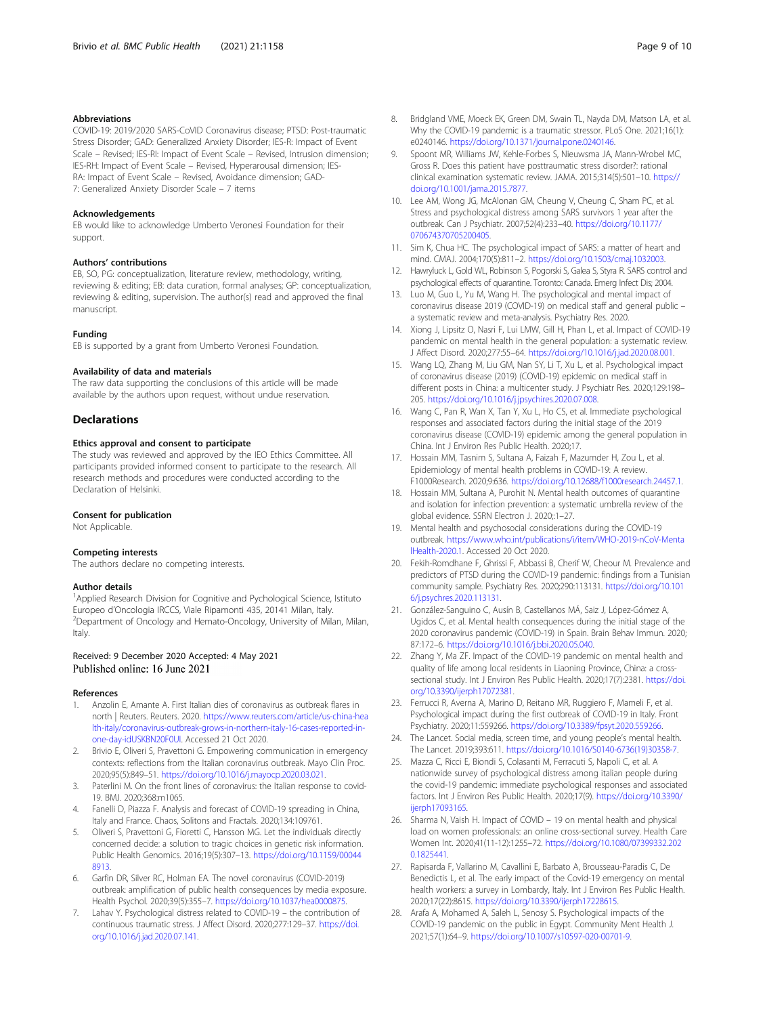#### <span id="page-8-0"></span>Abbreviations

COVID-19: 2019/2020 SARS-CoVID Coronavirus disease; PTSD: Post-traumatic Stress Disorder; GAD: Generalized Anxiety Disorder; IES-R: Impact of Event Scale – Revised; IES-RI: Impact of Event Scale – Revised, Intrusion dimension; IES-RH: Impact of Event Scale – Revised, Hyperarousal dimension; IES-RA: Impact of Event Scale – Revised, Avoidance dimension; GAD-7: Generalized Anxiety Disorder Scale – 7 items

#### Acknowledgements

EB would like to acknowledge Umberto Veronesi Foundation for their support.

#### Authors' contributions

EB, SO, PG: conceptualization, literature review, methodology, writing, reviewing & editing; EB: data curation, formal analyses; GP: conceptualization, reviewing & editing, supervision. The author(s) read and approved the final manuscript.

#### Funding

EB is supported by a grant from Umberto Veronesi Foundation.

#### Availability of data and materials

The raw data supporting the conclusions of this article will be made available by the authors upon request, without undue reservation.

#### **Declarations**

#### Ethics approval and consent to participate

The study was reviewed and approved by the IEO Ethics Committee. All participants provided informed consent to participate to the research. All research methods and procedures were conducted according to the Declaration of Helsinki.

#### Consent for publication

Not Applicable.

#### Competing interests

The authors declare no competing interests.

#### Author details

<sup>1</sup>Applied Research Division for Cognitive and Pychological Science, Istituto Europeo d'Oncologia IRCCS, Viale Ripamonti 435, 20141 Milan, Italy. <sup>2</sup> <sup>2</sup>Department of Oncology and Hemato-Oncology, University of Milan, Milan, Italy.

#### Received: 9 December 2020 Accepted: 4 May 2021 Published online: 16 June 2021

#### References

- 1. Anzolin E, Amante A. First Italian dies of coronavirus as outbreak flares in north | Reuters. Reuters. 2020. [https://www.reuters.com/article/us-china-hea](https://www.reuters.com/article/us-china-health-italy/coronavirus-outbreak-grows-in-northern-italy-16-cases-reported-in-one-day-idUSKBN20F0UI) [lth-italy/coronavirus-outbreak-grows-in-northern-italy-16-cases-reported-in](https://www.reuters.com/article/us-china-health-italy/coronavirus-outbreak-grows-in-northern-italy-16-cases-reported-in-one-day-idUSKBN20F0UI)[one-day-idUSKBN20F0UI](https://www.reuters.com/article/us-china-health-italy/coronavirus-outbreak-grows-in-northern-italy-16-cases-reported-in-one-day-idUSKBN20F0UI). Accessed 21 Oct 2020.
- 2. Brivio E, Oliveri S, Pravettoni G. Empowering communication in emergency contexts: reflections from the Italian coronavirus outbreak. Mayo Clin Proc. 2020;95(5):849–51. [https://doi.org/10.1016/j.mayocp.2020.03.021.](https://doi.org/10.1016/j.mayocp.2020.03.021)
- 3. Paterlini M. On the front lines of coronavirus: the Italian response to covid-19. BMJ. 2020;368:m1065.
- 4. Fanelli D, Piazza F. Analysis and forecast of COVID-19 spreading in China, Italy and France. Chaos, Solitons and Fractals. 2020;134:109761.
- 5. Oliveri S, Pravettoni G, Fioretti C, Hansson MG. Let the individuals directly concerned decide: a solution to tragic choices in genetic risk information. Public Health Genomics. 2016;19(5):307–13. [https://doi.org/10.1159/00044](https://doi.org/10.1159/000448913) [8913](https://doi.org/10.1159/000448913).
- 6. Garfin DR, Silver RC, Holman EA. The novel coronavirus (COVID-2019) outbreak: amplification of public health consequences by media exposure. Health Psychol. 2020;39(5):355–7. <https://doi.org/10.1037/hea0000875>.
- Lahav Y. Psychological distress related to COVID-19 the contribution of continuous traumatic stress. J Affect Disord. 2020;277:129–37. [https://doi.](https://doi.org/10.1016/j.jad.2020.07.141) [org/10.1016/j.jad.2020.07.141](https://doi.org/10.1016/j.jad.2020.07.141).
- 8. Bridgland VME, Moeck EK, Green DM, Swain TL, Nayda DM, Matson LA, et al. Why the COVID-19 pandemic is a traumatic stressor. PLoS One. 2021;16(1): e0240146. <https://doi.org/10.1371/journal.pone.0240146>.
- 9. Spoont MR, Williams JW, Kehle-Forbes S, Nieuwsma JA, Mann-Wrobel MC, Gross R. Does this patient have posttraumatic stress disorder?: rational clinical examination systematic review. JAMA. 2015;314(5):501–10. [https://](https://doi.org/10.1001/jama.2015.7877) [doi.org/10.1001/jama.2015.7877.](https://doi.org/10.1001/jama.2015.7877)
- 10. Lee AM, Wong JG, McAlonan GM, Cheung V, Cheung C, Sham PC, et al. Stress and psychological distress among SARS survivors 1 year after the outbreak. Can J Psychiatr. 2007;52(4):233–40. [https://doi.org/10.1177/](https://doi.org/10.1177/070674370705200405) [070674370705200405](https://doi.org/10.1177/070674370705200405).
- 11. Sim K, Chua HC. The psychological impact of SARS: a matter of heart and mind. CMAJ. 2004;170(5):811–2. <https://doi.org/10.1503/cmaj.1032003>.
- 12. Hawryluck L, Gold WL, Robinson S, Pogorski S, Galea S, Styra R. SARS control and psychological effects of quarantine. Toronto: Canada. Emerg Infect Dis; 2004.
- 13. Luo M, Guo L, Yu M, Wang H. The psychological and mental impact of coronavirus disease 2019 (COVID-19) on medical staff and general public – a systematic review and meta-analysis. Psychiatry Res. 2020.
- 14. Xiong J, Lipsitz O, Nasri F, Lui LMW, Gill H, Phan L, et al. Impact of COVID-19 pandemic on mental health in the general population: a systematic review. J Affect Disord. 2020;277:55–64. <https://doi.org/10.1016/j.jad.2020.08.001>.
- 15. Wang LQ, Zhang M, Liu GM, Nan SY, Li T, Xu L, et al. Psychological impact of coronavirus disease (2019) (COVID-19) epidemic on medical staff in different posts in China: a multicenter study. J Psychiatr Res. 2020;129:198– 205. [https://doi.org/10.1016/j.jpsychires.2020.07.008.](https://doi.org/10.1016/j.jpsychires.2020.07.008)
- 16. Wang C, Pan R, Wan X, Tan Y, Xu L, Ho CS, et al. Immediate psychological responses and associated factors during the initial stage of the 2019 coronavirus disease (COVID-19) epidemic among the general population in China. Int J Environ Res Public Health. 2020;17.
- 17. Hossain MM, Tasnim S, Sultana A, Faizah F, Mazumder H, Zou L, et al. Epidemiology of mental health problems in COVID-19: A review. F1000Research. 2020;9:636. [https://doi.org/10.12688/f1000research.24457.1.](https://doi.org/10.12688/f1000research.24457.1)
- 18. Hossain MM, Sultana A, Purohit N. Mental health outcomes of quarantine and isolation for infection prevention: a systematic umbrella review of the global evidence. SSRN Electron J. 2020;:1–27.
- 19. Mental health and psychosocial considerations during the COVID-19 outbreak. [https://www.who.int/publications/i/item/WHO-2019-nCoV-Menta](https://www.who.int/publications/i/item/WHO-2019-nCoV-MentalHealth-2020.1) [lHealth-2020.1.](https://www.who.int/publications/i/item/WHO-2019-nCoV-MentalHealth-2020.1) Accessed 20 Oct 2020.
- 20. Fekih-Romdhane F, Ghrissi F, Abbassi B, Cherif W, Cheour M. Prevalence and predictors of PTSD during the COVID-19 pandemic: findings from a Tunisian community sample. Psychiatry Res. 2020;290:113131. [https://doi.org/10.101](https://doi.org/10.1016/j.psychres.2020.113131) [6/j.psychres.2020.113131](https://doi.org/10.1016/j.psychres.2020.113131).
- 21. González-Sanguino C, Ausín B, Castellanos MÁ, Saiz J, López-Gómez A, Ugidos C, et al. Mental health consequences during the initial stage of the 2020 coronavirus pandemic (COVID-19) in Spain. Brain Behav Immun. 2020; 87:172–6. [https://doi.org/10.1016/j.bbi.2020.05.040.](https://doi.org/10.1016/j.bbi.2020.05.040)
- 22. Zhang Y, Ma ZF. Impact of the COVID-19 pandemic on mental health and quality of life among local residents in Liaoning Province, China: a crosssectional study. Int J Environ Res Public Health. 2020;17(7):2381. [https://doi.](https://doi.org/10.3390/ijerph17072381) [org/10.3390/ijerph17072381](https://doi.org/10.3390/ijerph17072381).
- 23. Ferrucci R, Averna A, Marino D, Reitano MR, Ruggiero F, Mameli F, et al. Psychological impact during the first outbreak of COVID-19 in Italy. Front Psychiatry. 2020;11:559266. <https://doi.org/10.3389/fpsyt.2020.559266>.
- 24. The Lancet. Social media, screen time, and young people's mental health. The Lancet. 2019;393:611. [https://doi.org/10.1016/S0140-6736\(19\)30358-7](https://doi.org/10.1016/S0140-6736(19)30358-7).
- 25. Mazza C, Ricci E, Biondi S, Colasanti M, Ferracuti S, Napoli C, et al. A nationwide survey of psychological distress among italian people during the covid-19 pandemic: immediate psychological responses and associated factors. Int J Environ Res Public Health. 2020;17(9). [https://doi.org/10.3390/](https://doi.org/10.3390/ijerph17093165) [ijerph17093165](https://doi.org/10.3390/ijerph17093165).
- 26. Sharma N, Vaish H. Impact of COVID 19 on mental health and physical load on women professionals: an online cross-sectional survey. Health Care Women Int. 2020;41(11-12):1255–72. [https://doi.org/10.1080/07399332.202](https://doi.org/10.1080/07399332.2020.1825441) [0.1825441](https://doi.org/10.1080/07399332.2020.1825441).
- 27. Rapisarda F, Vallarino M, Cavallini E, Barbato A, Brousseau-Paradis C, De Benedictis L, et al. The early impact of the Covid-19 emergency on mental health workers: a survey in Lombardy, Italy. Int J Environ Res Public Health. 2020;17(22):8615. [https://doi.org/10.3390/ijerph17228615.](https://doi.org/10.3390/ijerph17228615)
- 28. Arafa A, Mohamed A, Saleh L, Senosy S. Psychological impacts of the COVID-19 pandemic on the public in Egypt. Community Ment Health J. 2021;57(1):64–9. [https://doi.org/10.1007/s10597-020-00701-9.](https://doi.org/10.1007/s10597-020-00701-9)